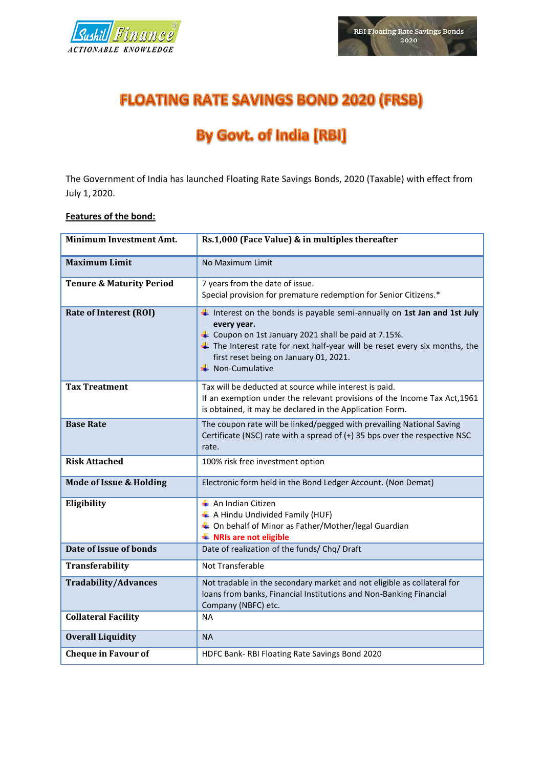



## **FLOATING RATE SAVINGS BOND 2020 (FRSB)**

# **By Govt. of India [RBI]**

The Government of India has launched Floating Rate Savings Bonds, 2020 (Taxable) with effect from July 1, 2020.

## **Features of the bond:**

| <b>Minimum Investment Amt.</b>      | Rs.1,000 (Face Value) & in multiples thereafter                                                                                                                                                                                                                                                          |
|-------------------------------------|----------------------------------------------------------------------------------------------------------------------------------------------------------------------------------------------------------------------------------------------------------------------------------------------------------|
| <b>Maximum Limit</b>                | No Maximum Limit                                                                                                                                                                                                                                                                                         |
| <b>Tenure &amp; Maturity Period</b> | 7 years from the date of issue.<br>Special provision for premature redemption for Senior Citizens.*                                                                                                                                                                                                      |
| <b>Rate of Interest (ROI)</b>       | $\ddagger$ Interest on the bonds is payable semi-annually on 1st Jan and 1st July<br>every year.<br>$\ddag$ Coupon on 1st January 2021 shall be paid at 7.15%.<br>The Interest rate for next half-year will be reset every six months, the<br>first reset being on January 01, 2021.<br>← Non-Cumulative |
| <b>Tax Treatment</b>                | Tax will be deducted at source while interest is paid.<br>If an exemption under the relevant provisions of the Income Tax Act, 1961<br>is obtained, it may be declared in the Application Form.                                                                                                          |
| <b>Base Rate</b>                    | The coupon rate will be linked/pegged with prevailing National Saving<br>Certificate (NSC) rate with a spread of $(+)$ 35 bps over the respective NSC<br>rate.                                                                                                                                           |
| <b>Risk Attached</b>                | 100% risk free investment option                                                                                                                                                                                                                                                                         |
| <b>Mode of Issue &amp; Holding</b>  | Electronic form held in the Bond Ledger Account. (Non Demat)                                                                                                                                                                                                                                             |
| Eligibility                         | $\overline{\text{+}}$ An Indian Citizen<br>A Hindu Undivided Family (HUF)<br>↓ On behalf of Minor as Father/Mother/legal Guardian<br><b>↓ NRIs are not eligible</b>                                                                                                                                      |
| Date of Issue of bonds              | Date of realization of the funds/ Chq/ Draft                                                                                                                                                                                                                                                             |
| <b>Transferability</b>              | Not Transferable                                                                                                                                                                                                                                                                                         |
| <b>Tradability/Advances</b>         | Not tradable in the secondary market and not eligible as collateral for<br>loans from banks, Financial Institutions and Non-Banking Financial<br>Company (NBFC) etc.                                                                                                                                     |
| <b>Collateral Facility</b>          | <b>NA</b>                                                                                                                                                                                                                                                                                                |
| <b>Overall Liquidity</b>            | <b>NA</b>                                                                                                                                                                                                                                                                                                |
| <b>Cheque in Favour of</b>          | HDFC Bank-RBI Floating Rate Savings Bond 2020                                                                                                                                                                                                                                                            |